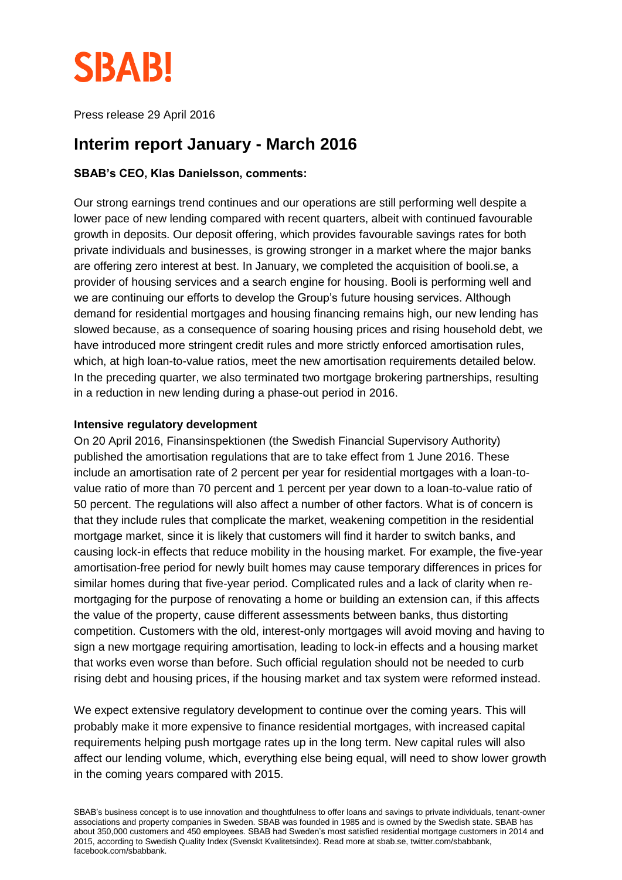

Press release 29 April 2016

# **Interim report January - March 2016**

### **SBAB's CEO, Klas Danielsson, comments:**

Our strong earnings trend continues and our operations are still performing well despite a lower pace of new lending compared with recent quarters, albeit with continued favourable growth in deposits. Our deposit offering, which provides favourable savings rates for both private individuals and businesses, is growing stronger in a market where the major banks are offering zero interest at best. In January, we completed the acquisition of booli.se, a provider of housing services and a search engine for housing. Booli is performing well and we are continuing our efforts to develop the Group's future housing services. Although demand for residential mortgages and housing financing remains high, our new lending has slowed because, as a consequence of soaring housing prices and rising household debt, we have introduced more stringent credit rules and more strictly enforced amortisation rules, which, at high loan-to-value ratios, meet the new amortisation requirements detailed below. In the preceding quarter, we also terminated two mortgage brokering partnerships, resulting in a reduction in new lending during a phase-out period in 2016.

#### **Intensive regulatory development**

On 20 April 2016, Finansinspektionen (the Swedish Financial Supervisory Authority) published the amortisation regulations that are to take effect from 1 June 2016. These include an amortisation rate of 2 percent per year for residential mortgages with a loan-tovalue ratio of more than 70 percent and 1 percent per year down to a loan-to-value ratio of 50 percent. The regulations will also affect a number of other factors. What is of concern is that they include rules that complicate the market, weakening competition in the residential mortgage market, since it is likely that customers will find it harder to switch banks, and causing lock-in effects that reduce mobility in the housing market. For example, the five-year amortisation-free period for newly built homes may cause temporary differences in prices for similar homes during that five-year period. Complicated rules and a lack of clarity when remortgaging for the purpose of renovating a home or building an extension can, if this affects the value of the property, cause different assessments between banks, thus distorting competition. Customers with the old, interest-only mortgages will avoid moving and having to sign a new mortgage requiring amortisation, leading to lock-in effects and a housing market that works even worse than before. Such official regulation should not be needed to curb rising debt and housing prices, if the housing market and tax system were reformed instead.

We expect extensive regulatory development to continue over the coming years. This will probably make it more expensive to finance residential mortgages, with increased capital requirements helping push mortgage rates up in the long term. New capital rules will also affect our lending volume, which, everything else being equal, will need to show lower growth in the coming years compared with 2015.

SBAB's business concept is to use innovation and thoughtfulness to offer loans and savings to private individuals, tenant-owner associations and property companies in Sweden. SBAB was founded in 1985 and is owned by the Swedish state. SBAB has about 350,000 customers and 450 employees. SBAB had Sweden's most satisfied residential mortgage customers in 2014 and 2015, according to Swedish Quality Index (Svenskt Kvalitetsindex). Read more at sbab.se, twitter.com/sbabbank, facebook.com/sbabbank.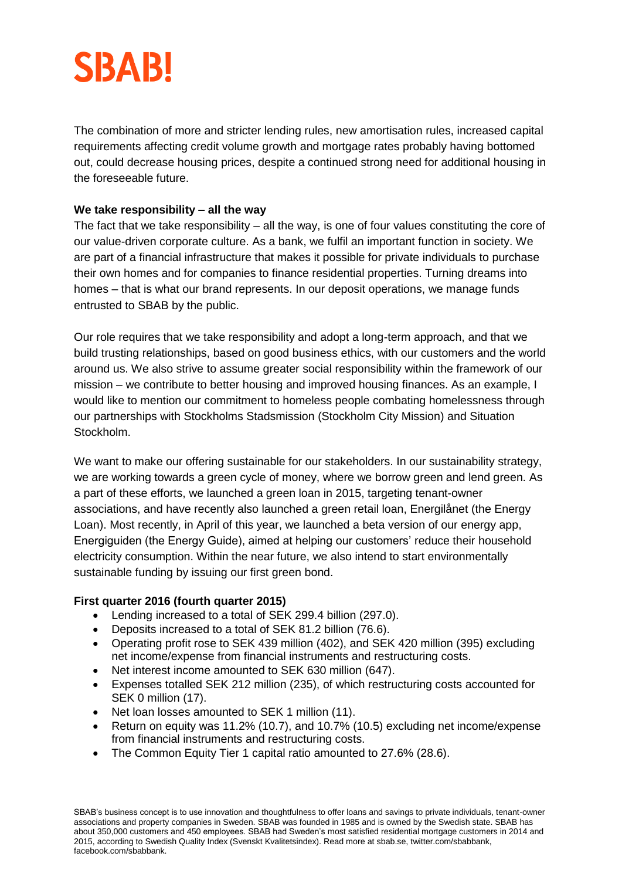# **SBAB!**

The combination of more and stricter lending rules, new amortisation rules, increased capital requirements affecting credit volume growth and mortgage rates probably having bottomed out, could decrease housing prices, despite a continued strong need for additional housing in the foreseeable future.

# **We take responsibility – all the way**

The fact that we take responsibility – all the way, is one of four values constituting the core of our value-driven corporate culture. As a bank, we fulfil an important function in society. We are part of a financial infrastructure that makes it possible for private individuals to purchase their own homes and for companies to finance residential properties. Turning dreams into homes – that is what our brand represents. In our deposit operations, we manage funds entrusted to SBAB by the public.

Our role requires that we take responsibility and adopt a long-term approach, and that we build trusting relationships, based on good business ethics, with our customers and the world around us. We also strive to assume greater social responsibility within the framework of our mission – we contribute to better housing and improved housing finances. As an example, I would like to mention our commitment to homeless people combating homelessness through our partnerships with Stockholms Stadsmission (Stockholm City Mission) and Situation Stockholm.

We want to make our offering sustainable for our stakeholders. In our sustainability strategy, we are working towards a green cycle of money, where we borrow green and lend green. As a part of these efforts, we launched a green loan in 2015, targeting tenant-owner associations, and have recently also launched a green retail loan, Energilånet (the Energy Loan). Most recently, in April of this year, we launched a beta version of our energy app, Energiguiden (the Energy Guide), aimed at helping our customers' reduce their household electricity consumption. Within the near future, we also intend to start environmentally sustainable funding by issuing our first green bond.

# **First quarter 2016 (fourth quarter 2015)**

- Lending increased to a total of SEK 299.4 billion (297.0).
- Deposits increased to a total of SEK 81.2 billion (76.6).
- Operating profit rose to SEK 439 million (402), and SEK 420 million (395) excluding net income/expense from financial instruments and restructuring costs.
- Net interest income amounted to SEK 630 million (647).
- Expenses totalled SEK 212 million (235), of which restructuring costs accounted for SEK 0 million (17).
- Net loan losses amounted to SEK 1 million (11).
- Return on equity was 11.2% (10.7), and 10.7% (10.5) excluding net income/expense from financial instruments and restructuring costs.
- The Common Equity Tier 1 capital ratio amounted to 27.6% (28.6).

SBAB's business concept is to use innovation and thoughtfulness to offer loans and savings to private individuals, tenant-owner associations and property companies in Sweden. SBAB was founded in 1985 and is owned by the Swedish state. SBAB has about 350,000 customers and 450 employees. SBAB had Sweden's most satisfied residential mortgage customers in 2014 and 2015, according to Swedish Quality Index (Svenskt Kvalitetsindex). Read more at sbab.se, twitter.com/sbabbank, facebook.com/sbabbank.